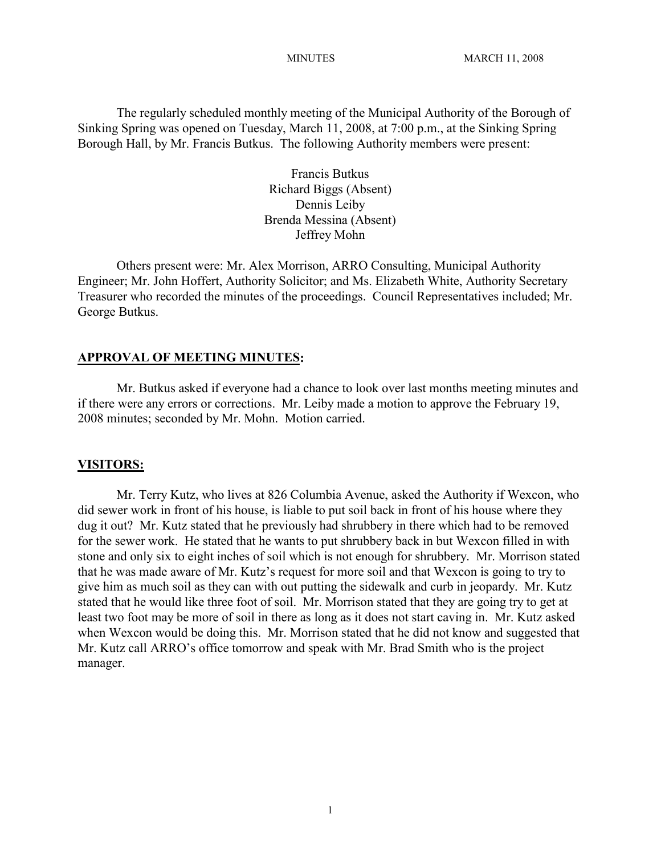The regularly scheduled monthly meeting of the Municipal Authority of the Borough of Sinking Spring was opened on Tuesday, March 11, 2008, at 7:00 p.m., at the Sinking Spring Borough Hall, by Mr. Francis Butkus. The following Authority members were present:

> Francis Butkus Richard Biggs (Absent) Dennis Leiby Brenda Messina (Absent) Jeffrey Mohn

Others present were: Mr. Alex Morrison, ARRO Consulting, Municipal Authority Engineer; Mr. John Hoffert, Authority Solicitor; and Ms. Elizabeth White, Authority Secretary Treasurer who recorded the minutes of the proceedings. Council Representatives included; Mr. George Butkus.

#### **APPROVAL OF MEETING MINUTES:**

Mr. Butkus asked if everyone had a chance to look over last months meeting minutes and if there were any errors or corrections. Mr. Leiby made a motion to approve the February 19, 2008 minutes; seconded by Mr. Mohn. Motion carried.

#### **VISITORS:**

Mr. Terry Kutz, who lives at 826 Columbia Avenue, asked the Authority if Wexcon, who did sewer work in front of his house, is liable to put soil back in front of his house where they dug it out? Mr. Kutz stated that he previously had shrubbery in there which had to be removed for the sewer work. He stated that he wants to put shrubbery back in but Wexcon filled in with stone and only six to eight inches of soil which is not enough for shrubbery. Mr. Morrison stated that he was made aware of Mr. Kutz's request for more soil and that Wexcon is going to try to give him as much soil as they can with out putting the sidewalk and curb in jeopardy. Mr. Kutz stated that he would like three foot of soil. Mr. Morrison stated that they are going try to get at least two foot may be more of soil in there as long as it does not start caving in. Mr. Kutz asked when Wexcon would be doing this. Mr. Morrison stated that he did not know and suggested that Mr. Kutz call ARRO's office tomorrow and speak with Mr. Brad Smith who is the project manager.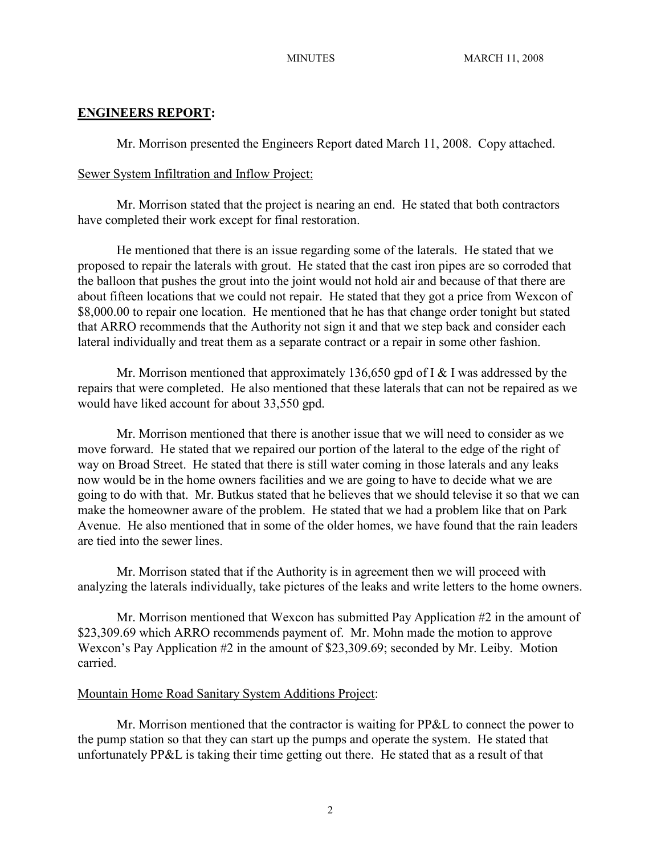### **ENGINEERS REPORT:**

Mr. Morrison presented the Engineers Report dated March 11, 2008. Copy attached.

#### Sewer System Infiltration and Inflow Project:

Mr. Morrison stated that the project is nearing an end. He stated that both contractors have completed their work except for final restoration.

He mentioned that there is an issue regarding some of the laterals. He stated that we proposed to repair the laterals with grout. He stated that the cast iron pipes are so corroded that the balloon that pushes the grout into the joint would not hold air and because of that there are about fifteen locations that we could not repair. He stated that they got a price from Wexcon of \$8,000.00 to repair one location. He mentioned that he has that change order tonight but stated that ARRO recommends that the Authority not sign it and that we step back and consider each lateral individually and treat them as a separate contract or a repair in some other fashion.

Mr. Morrison mentioned that approximately 136,650 gpd of I & I was addressed by the repairs that were completed. He also mentioned that these laterals that can not be repaired as we would have liked account for about 33,550 gpd.

Mr. Morrison mentioned that there is another issue that we will need to consider as we move forward. He stated that we repaired our portion of the lateral to the edge of the right of way on Broad Street. He stated that there is still water coming in those laterals and any leaks now would be in the home owners facilities and we are going to have to decide what we are going to do with that. Mr. Butkus stated that he believes that we should televise it so that we can make the homeowner aware of the problem. He stated that we had a problem like that on Park Avenue. He also mentioned that in some of the older homes, we have found that the rain leaders are tied into the sewer lines.

Mr. Morrison stated that if the Authority is in agreement then we will proceed with analyzing the laterals individually, take pictures of the leaks and write letters to the home owners.

Mr. Morrison mentioned that Wexcon has submitted Pay Application #2 in the amount of \$23,309.69 which ARRO recommends payment of. Mr. Mohn made the motion to approve Wexcon's Pay Application #2 in the amount of \$23,309.69; seconded by Mr. Leiby. Motion carried.

#### Mountain Home Road Sanitary System Additions Project:

Mr. Morrison mentioned that the contractor is waiting for PP&L to connect the power to the pump station so that they can start up the pumps and operate the system. He stated that unfortunately PP&L is taking their time getting out there. He stated that as a result of that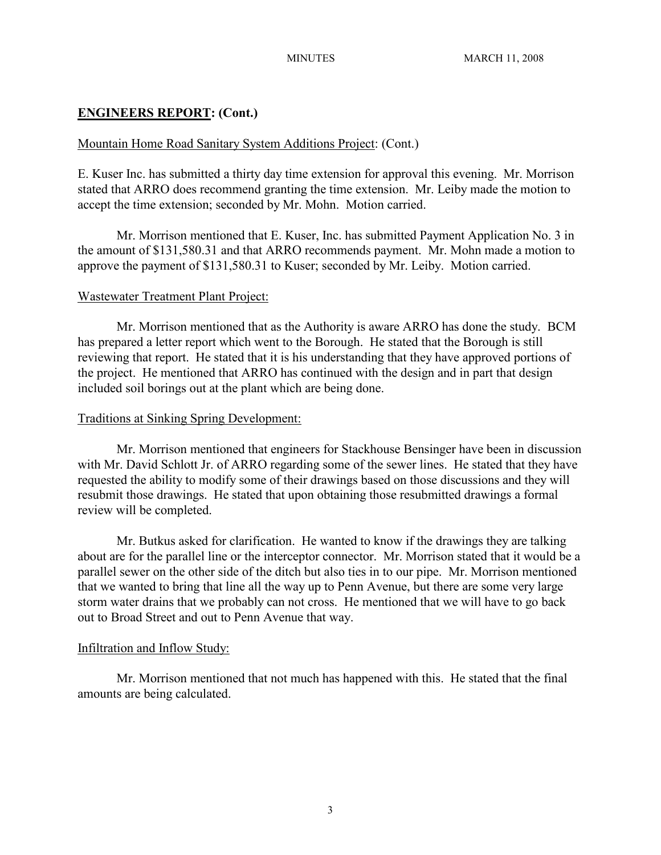# **ENGINEERS REPORT: (Cont.)**

### Mountain Home Road Sanitary System Additions Project: (Cont.)

E. Kuser Inc. has submitted a thirty day time extension for approval this evening. Mr. Morrison stated that ARRO does recommend granting the time extension. Mr. Leiby made the motion to accept the time extension; seconded by Mr. Mohn. Motion carried.

Mr. Morrison mentioned that E. Kuser, Inc. has submitted Payment Application No. 3 in the amount of \$131,580.31 and that ARRO recommends payment. Mr. Mohn made a motion to approve the payment of \$131,580.31 to Kuser; seconded by Mr. Leiby. Motion carried.

### Wastewater Treatment Plant Project:

Mr. Morrison mentioned that as the Authority is aware ARRO has done the study. BCM has prepared a letter report which went to the Borough. He stated that the Borough is still reviewing that report. He stated that it is his understanding that they have approved portions of the project. He mentioned that ARRO has continued with the design and in part that design included soil borings out at the plant which are being done.

### Traditions at Sinking Spring Development:

Mr. Morrison mentioned that engineers for Stackhouse Bensinger have been in discussion with Mr. David Schlott Jr. of ARRO regarding some of the sewer lines. He stated that they have requested the ability to modify some of their drawings based on those discussions and they will resubmit those drawings. He stated that upon obtaining those resubmitted drawings a formal review will be completed.

Mr. Butkus asked for clarification. He wanted to know if the drawings they are talking about are for the parallel line or the interceptor connector. Mr. Morrison stated that it would be a parallel sewer on the other side of the ditch but also ties in to our pipe. Mr. Morrison mentioned that we wanted to bring that line all the way up to Penn Avenue, but there are some very large storm water drains that we probably can not cross. He mentioned that we will have to go back out to Broad Street and out to Penn Avenue that way.

# Infiltration and Inflow Study:

Mr. Morrison mentioned that not much has happened with this. He stated that the final amounts are being calculated.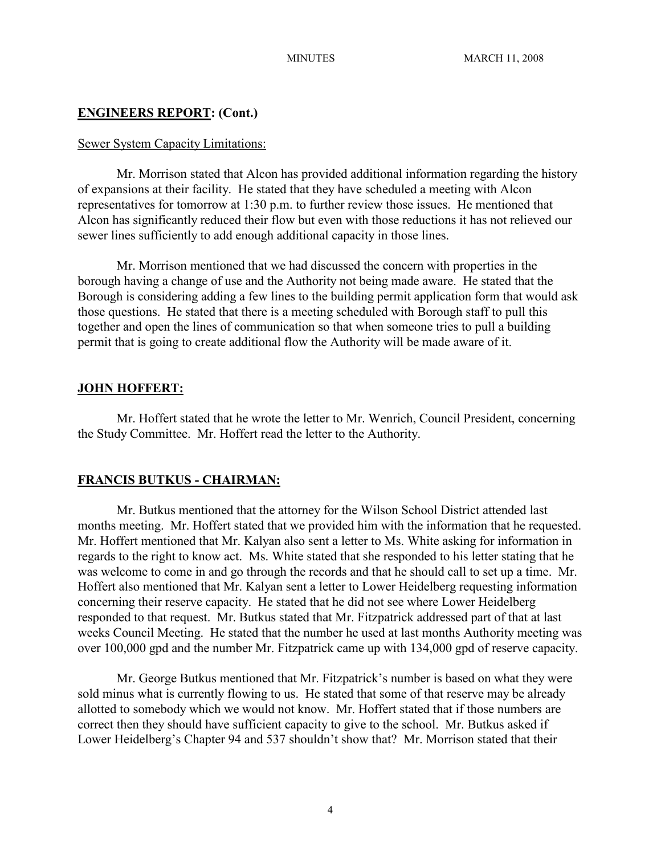# **ENGINEERS REPORT: (Cont.)**

#### Sewer System Capacity Limitations:

Mr. Morrison stated that Alcon has provided additional information regarding the history of expansions at their facility. He stated that they have scheduled a meeting with Alcon representatives for tomorrow at 1:30 p.m. to further review those issues. He mentioned that Alcon has significantly reduced their flow but even with those reductions it has not relieved our sewer lines sufficiently to add enough additional capacity in those lines.

Mr. Morrison mentioned that we had discussed the concern with properties in the borough having a change of use and the Authority not being made aware. He stated that the Borough is considering adding a few lines to the building permit application form that would ask those questions. He stated that there is a meeting scheduled with Borough staff to pull this together and open the lines of communication so that when someone tries to pull a building permit that is going to create additional flow the Authority will be made aware of it.

# **JOHN HOFFERT:**

Mr. Hoffert stated that he wrote the letter to Mr. Wenrich, Council President, concerning the Study Committee. Mr. Hoffert read the letter to the Authority.

# **FRANCIS BUTKUS - CHAIRMAN:**

Mr. Butkus mentioned that the attorney for the Wilson School District attended last months meeting. Mr. Hoffert stated that we provided him with the information that he requested. Mr. Hoffert mentioned that Mr. Kalyan also sent a letter to Ms. White asking for information in regards to the right to know act. Ms. White stated that she responded to his letter stating that he was welcome to come in and go through the records and that he should call to set up a time. Mr. Hoffert also mentioned that Mr. Kalyan sent a letter to Lower Heidelberg requesting information concerning their reserve capacity. He stated that he did not see where Lower Heidelberg responded to that request. Mr. Butkus stated that Mr. Fitzpatrick addressed part of that at last weeks Council Meeting. He stated that the number he used at last months Authority meeting was over 100,000 gpd and the number Mr. Fitzpatrick came up with 134,000 gpd of reserve capacity.

Mr. George Butkus mentioned that Mr. Fitzpatrick's number is based on what they were sold minus what is currently flowing to us. He stated that some of that reserve may be already allotted to somebody which we would not know. Mr. Hoffert stated that if those numbers are correct then they should have sufficient capacity to give to the school. Mr. Butkus asked if Lower Heidelberg's Chapter 94 and 537 shouldn't show that? Mr. Morrison stated that their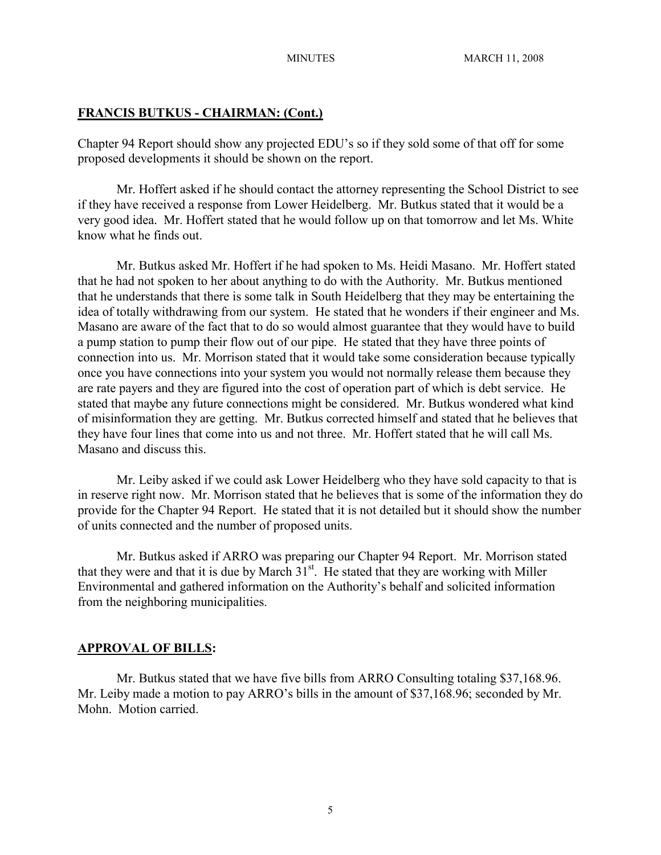## **FRANCIS BUTKUS - CHAIRMAN: (Cont.)**

Chapter 94 Report should show any projected EDU's so if they sold some of that off for some proposed developments it should be shown on the report.

Mr. Hoffert asked if he should contact the attorney representing the School District to see if they have received a response from Lower Heidelberg. Mr. Butkus stated that it would be a very good idea. Mr. Hoffert stated that he would follow up on that tomorrow and let Ms. White know what he finds out.

Mr. Butkus asked Mr. Hoffert if he had spoken to Ms. Heidi Masano. Mr. Hoffert stated that he had not spoken to her about anything to do with the Authority. Mr. Butkus mentioned that he understands that there is some talk in South Heidelberg that they may be entertaining the idea of totally withdrawing from our system. He stated that he wonders if their engineer and Ms. Masano are aware of the fact that to do so would almost guarantee that they would have to build a pump station to pump their flow out of our pipe. He stated that they have three points of connection into us. Mr. Morrison stated that it would take some consideration because typically once you have connections into your system you would not normally release them because they are rate payers and they are figured into the cost of operation part of which is debt service. He stated that maybe any future connections might be considered. Mr. Butkus wondered what kind of misinformation they are getting. Mr. Butkus corrected himself and stated that he believes that they have four lines that come into us and not three. Mr. Hoffert stated that he will call Ms. Masano and discuss this.

Mr. Leiby asked if we could ask Lower Heidelberg who they have sold capacity to that is in reserve right now. Mr. Morrison stated that he believes that is some of the information they do provide for the Chapter 94 Report. He stated that it is not detailed but it should show the number of units connected and the number of proposed units.

Mr. Butkus asked if ARRO was preparing our Chapter 94 Report. Mr. Morrison stated that they were and that it is due by March  $31<sup>st</sup>$ . He stated that they are working with Miller Environmental and gathered information on the Authority's behalf and solicited information from the neighboring municipalities.

#### **APPROVAL OF BILLS:**

Mr. Butkus stated that we have five bills from ARRO Consulting totaling \$37,168.96. Mr. Leiby made a motion to pay ARRO's bills in the amount of \$37,168.96; seconded by Mr. Mohn. Motion carried.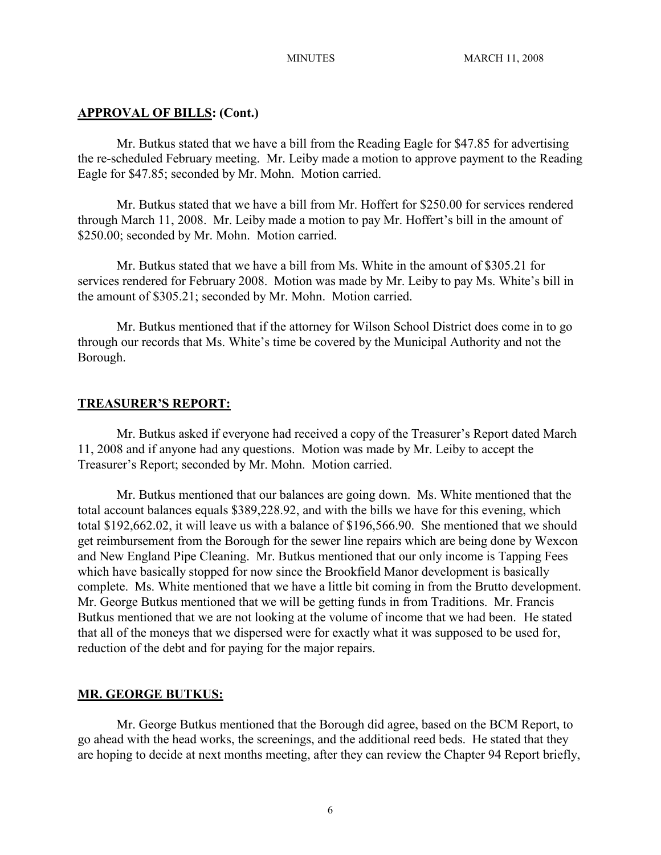#### **APPROVAL OF BILLS: (Cont.)**

Mr. Butkus stated that we have a bill from the Reading Eagle for \$47.85 for advertising the re-scheduled February meeting. Mr. Leiby made a motion to approve payment to the Reading Eagle for \$47.85; seconded by Mr. Mohn. Motion carried.

Mr. Butkus stated that we have a bill from Mr. Hoffert for \$250.00 for services rendered through March 11, 2008. Mr. Leiby made a motion to pay Mr. Hoffert's bill in the amount of \$250.00; seconded by Mr. Mohn. Motion carried.

Mr. Butkus stated that we have a bill from Ms. White in the amount of \$305.21 for services rendered for February 2008. Motion was made by Mr. Leiby to pay Ms. White's bill in the amount of \$305.21; seconded by Mr. Mohn. Motion carried.

Mr. Butkus mentioned that if the attorney for Wilson School District does come in to go through our records that Ms. White's time be covered by the Municipal Authority and not the Borough.

#### **TREASURER'S REPORT:**

Mr. Butkus asked if everyone had received a copy of the Treasurer's Report dated March 11, 2008 and if anyone had any questions. Motion was made by Mr. Leiby to accept the Treasurer's Report; seconded by Mr. Mohn. Motion carried.

Mr. Butkus mentioned that our balances are going down. Ms. White mentioned that the total account balances equals \$389,228.92, and with the bills we have for this evening, which total \$192,662.02, it will leave us with a balance of \$196,566.90. She mentioned that we should get reimbursement from the Borough for the sewer line repairs which are being done by Wexcon and New England Pipe Cleaning. Mr. Butkus mentioned that our only income is Tapping Fees which have basically stopped for now since the Brookfield Manor development is basically complete. Ms. White mentioned that we have a little bit coming in from the Brutto development. Mr. George Butkus mentioned that we will be getting funds in from Traditions. Mr. Francis Butkus mentioned that we are not looking at the volume of income that we had been. He stated that all of the moneys that we dispersed were for exactly what it was supposed to be used for, reduction of the debt and for paying for the major repairs.

#### **MR. GEORGE BUTKUS:**

Mr. George Butkus mentioned that the Borough did agree, based on the BCM Report, to go ahead with the head works, the screenings, and the additional reed beds. He stated that they are hoping to decide at next months meeting, after they can review the Chapter 94 Report briefly,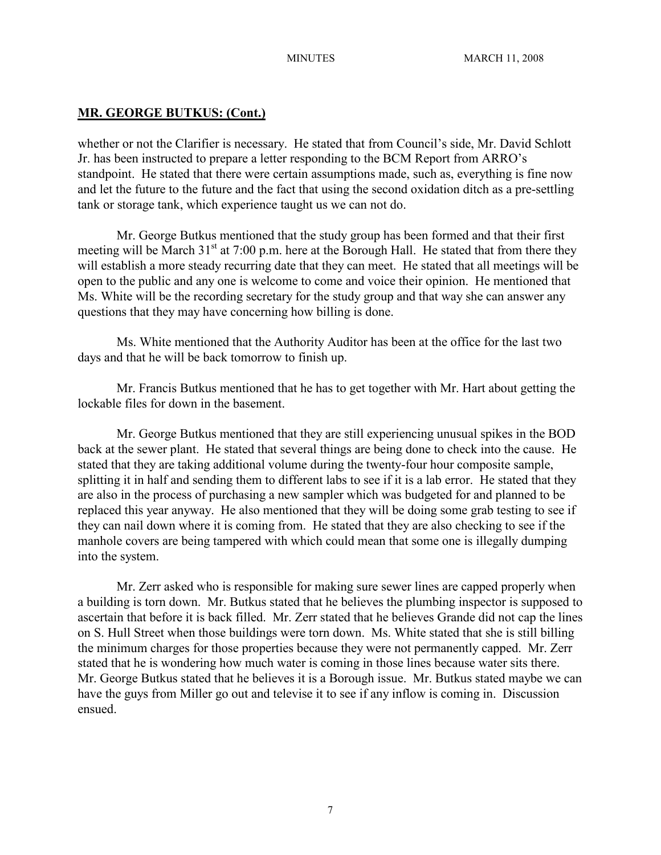# **MR. GEORGE BUTKUS: (Cont.)**

whether or not the Clarifier is necessary. He stated that from Council's side, Mr. David Schlott Jr. has been instructed to prepare a letter responding to the BCM Report from ARRO's standpoint. He stated that there were certain assumptions made, such as, everything is fine now and let the future to the future and the fact that using the second oxidation ditch as a pre-settling tank or storage tank, which experience taught us we can not do.

Mr. George Butkus mentioned that the study group has been formed and that their first meeting will be March  $31<sup>st</sup>$  at 7:00 p.m. here at the Borough Hall. He stated that from there they will establish a more steady recurring date that they can meet. He stated that all meetings will be open to the public and any one is welcome to come and voice their opinion. He mentioned that Ms. White will be the recording secretary for the study group and that way she can answer any questions that they may have concerning how billing is done.

Ms. White mentioned that the Authority Auditor has been at the office for the last two days and that he will be back tomorrow to finish up.

Mr. Francis Butkus mentioned that he has to get together with Mr. Hart about getting the lockable files for down in the basement.

Mr. George Butkus mentioned that they are still experiencing unusual spikes in the BOD back at the sewer plant. He stated that several things are being done to check into the cause. He stated that they are taking additional volume during the twenty-four hour composite sample, splitting it in half and sending them to different labs to see if it is a lab error. He stated that they are also in the process of purchasing a new sampler which was budgeted for and planned to be replaced this year anyway. He also mentioned that they will be doing some grab testing to see if they can nail down where it is coming from. He stated that they are also checking to see if the manhole covers are being tampered with which could mean that some one is illegally dumping into the system.

Mr. Zerr asked who is responsible for making sure sewer lines are capped properly when a building is torn down. Mr. Butkus stated that he believes the plumbing inspector is supposed to ascertain that before it is back filled. Mr. Zerr stated that he believes Grande did not cap the lines on S. Hull Street when those buildings were torn down. Ms. White stated that she is still billing the minimum charges for those properties because they were not permanently capped. Mr. Zerr stated that he is wondering how much water is coming in those lines because water sits there. Mr. George Butkus stated that he believes it is a Borough issue. Mr. Butkus stated maybe we can have the guys from Miller go out and televise it to see if any inflow is coming in. Discussion ensued.